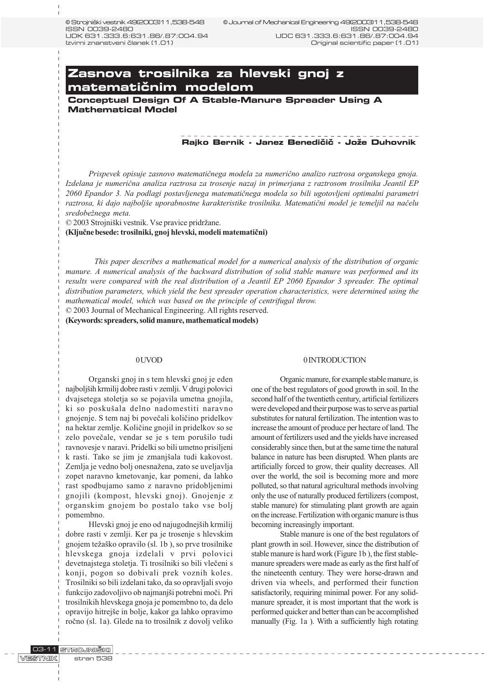# **Zasnova trosilnika za hlevski gnoj z** matematičnim modelom

**Conceptual Design Of A Stable-Manure Spreader Using A Mathematical Model**

### **Rajko Bernik - Janez Benedičič - Jože Duhovnik**

Prispevek opisuje zasnovo matematiènega modela za numerièno analizo raztrosa organskega gnoja. Izdelana je numerièna analiza raztrosa za trosenje nazaj in primerjana z raztrosom trosilnika Jeantil EP 2060 Epandor 3. Na podlagi postavljenega matematiènega modela so bili ugotovljeni optimalni parametri raztrosa, ki dajo najboliše uporabnostne karakteristike trosilnika. Matematični model je temeljil na načelu sredobežnega meta.

© 2003 Strojniški vestnik. Vse pravice pridržane.

(Kljuène besede: trosilniki, gnoj hlevski, modeli matematièni)

This paper describes a mathematical model for a numerical analysis of the distribution of organic manure. A numerical analysis of the backward distribution of solid stable manure was performed and its results were compared with the real distribution of a Jeantil EP 2060 Epandor 3 spreader. The optimal distribution parameters, which yield the best spreader operation characteristics, were determined using the mathematical model, which was based on the principle of centrifugal throw.

© 2003 Journal of Mechanical Engineering. All rights reserved.

(Keywords: spreaders, solid manure, mathematical models)

#### 0 UVOD

Organski gnoj in s tem hlevski gnoj je eden najboljih krmilij dobre rasti v zemlji. V drugi polovici dvajsetega stoletja so se pojavila umetna gnojila, ki so poskušala delno nadomestiti naravno gnojenje. S tem naj bi poveèali kolièino pridelkov na hektar zemlje. Kolièine gnojil in pridelkov so se zelo povečale, vendar se je s tem porušilo tudi ravnovesje v naravi. Pridelki so bili umetno prisiljeni k rasti. Tako se jim je zmanjšala tudi kakovost. Zemlja je vedno bolj onesnažena, zato se uveljavlja zopet naravno kmetovanje, kar pomeni, da lahko rast spodbujamo samo z naravno pridobljenimi gnojili (kompost, hlevski gnoj). Gnojenje z organskim gnojem bo postalo tako vse bolj pomembno.

Hlevski gnoj je eno od najugodnejših krmilij dobre rasti v zemlji. Ker pa je trosenje s hlevskim gnojem težaško opravilo (sl. 1b), so prve trosilnike hlevskega gnoja izdelali v prvi polovici devetnajstega stoletja. Ti trosilniki so bili vlečeni s konji, pogon so dobivali prek voznih koles. Trosilniki so bili izdelani tako, da so opravljali svojo funkcijo zadovoljivo ob najmanjši potrebni moči. Pri trosilnikih hlevskega gnoja je pomembno to, da delo opravijo hitrejše in bolje, kakor ga lahko opravimo roèno (sl. 1a). Glede na to trosilnik z dovolj veliko

#### 0 INTRODUCTION

Organic manure, for example stable manure, is one of the best regulators of good growth in soil. In the second half of the twentieth century, artificial fertilizers were developed and their purpose was to serve as partial substitutes for natural fertilization. The intention was to increase the amount of produce per hectare of land. The amount of fertilizers used and the yields have increased considerably since then, but at the same time the natural balance in nature has been disrupted. When plants are artificially forced to grow, their quality decreases. All over the world, the soil is becoming more and more polluted, so that natural agricultural methods involving only the use of naturally produced fertilizers (compost, stable manure) for stimulating plant growth are again on the increase. Fertilization with organic manure is thus becoming increasingly important.

Stable manure is one of the best regulators of plant growth in soil. However, since the distribution of stable manure is hard work (Figure 1b ), the first stablemanure spreaders were made as early as the first half of the nineteenth century. They were horse-drawn and driven via wheels, and performed their function satisfactorily, requiring minimal power. For any solidmanure spreader, it is most important that the work is performed quicker and better than can be accomplished manually (Fig. 1a ). With a sufficiently high rotating

--------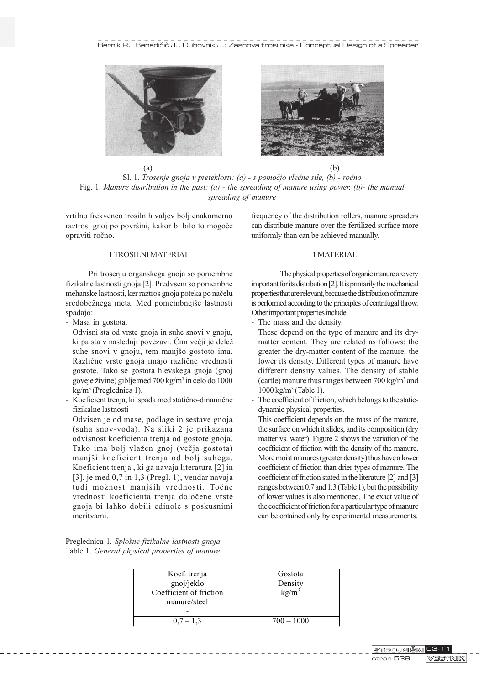





vrtilno frekvenco trosilnih valjev bolj enakomerno raztrosi gnoj po površini, kakor bi bilo to mogoče opraviti roèno.

# 1 TROSILNI MATERIAL

Pri trosenju organskega gnoja so pomembne fizikalne lastnosti gnoja [2]. Predvsem so pomembne mehanske lastnosti, ker raztros gnoja poteka po naèelu sredobežnega meta. Med pomembnejše lastnosti spadajo:

- Masa in gostota.

Odvisni sta od vrste gnoja in suhe snovi v gnoju, ki pa sta v naslednji povezavi. Čim večji je delež suhe snovi v gnoju, tem manjšo gostoto ima. Razliène vrste gnoja imajo razliène vrednosti gostote. Tako se gostota hlevskega gnoja (gnoj goveje živine) giblje med 700 kg/m<sup>3</sup> in celo do 1000 kg/m3 (Preglednica 1).

- Koeficient trenja, ki spada med statièno-dinamiène fizikalne lastnosti

Odvisen je od mase, podlage in sestave gnoja (suha snov-voda). Na sliki 2 je prikazana odvisnost koeficienta trenja od gostote gnoja. Tako ima bolj vlažen gnoj (večja gostota) manjši koeficient trenja od bolj suhega. Koeficient trenja , ki ga navaja literatura [2] in [3], je med 0,7 in 1,3 (Pregl. 1), vendar navaja tudi možnost manjših vrednosti. Točne vrednosti koeficienta trenja doloèene vrste gnoja bi lahko dobili edinole s poskusnimi meritvami.

Preglednica 1. Splošne fizikalne lastnosti gnoja Table 1. General physical properties of manure frequency of the distribution rollers, manure spreaders can distribute manure over the fertilized surface more uniformly than can be achieved manually.

# 1 MATERIAL

The physical properties of organic manure are very important for its distribution [2]. It is primarily the mechanical properties that are relevant, because the distribution of manure is performed according to the principles of centrifugal throw. Other important properties include:

- The mass and the density.
- These depend on the type of manure and its drymatter content. They are related as follows: the greater the dry-matter content of the manure, the lower its density. Different types of manure have different density values. The density of stable (cattle) manure thus ranges between 700 kg/m<sup>3</sup> and 1000 kg/m3 (Table 1).
- The coefficient of friction, which belongs to the staticdynamic physical properties.

This coefficient depends on the mass of the manure, the surface on which it slides, and its composition (dry matter vs. water). Figure 2 shows the variation of the coefficient of friction with the density of the manure. More moist manures (greater density) thus have a lower coefficient of friction than drier types of manure. The coefficient of friction stated in the literature [2] and [3] ranges between 0.7 and 1.3 (Table 1), but the possibility of lower values is also mentioned. The exact value of the coefficient of friction for a particular type of manure can be obtained only by experimental measurements.

| Koef. trenja<br>gnoj/jeklo<br>Coefficient of friction<br>manure/steel | Gostota<br>Density<br>$kg/m^3$ |
|-----------------------------------------------------------------------|--------------------------------|
| $0.7 - 1.3$                                                           | $700 - 1000$                   |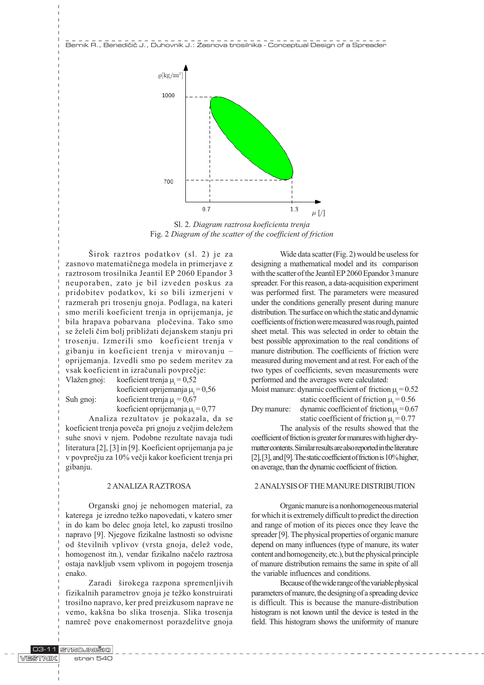Bernik R., Benedi~i~ J., Duhovnik J.: Zasnova trosilnika - Conceptual Design of a Spreader



Sl. 2. Diagram raztrosa koeficienta trenja Fig. 2 Diagram of the scatter of the coefficient of friction

Širok raztros podatkov (sl. 2) je za zasnovo matematiènega modela in primerjave z raztrosom trosilnika Jeantil EP 2060 Epandor 3 neuporaben, zato je bil izveden poskus za pridobitev podatkov, ki so bili izmerjeni v razmerah pri trosenju gnoja. Podlaga, na kateri smo merili koeficient trenja in oprijemanja, je bila hrapava pobarvana ploèevina. Tako smo se želeli čim bolj približati dejanskem stanju pri trosenju. Izmerili smo koeficient trenja v gibanju in koeficient trenja v mirovanju oprijemanja. Izvedli smo po sedem meritev za vsak koeficient in izraèunali povpreèje:

Vlažen gnoj: koeficient trenja  $\mu_t = 0.52$ koeficient oprijemanja  $\mu_1 = 0,56$ Suh gnoj: koeficient trenja  $\mu_t = 0.67$ 

gibanju.

koeficient oprijemanja  $\mu_1 = 0.77$ Analiza rezultatov je pokazala, da se koeficient trenja poveča pri gnoju z večjim deležem suhe snovi v njem. Podobne rezultate navaja tudi literatura [2], [3] in [9]. Koeficient oprijemanja pa je v povpreèju za 10% veèji kakor koeficient trenja pri

#### 2 ANALIZA RAZTROSA

Organski gnoj je nehomogen material, za katerega je izredno težko napovedati, v katero smer in do kam bo delec gnoja letel, ko zapusti trosilno napravo [9]. Njegove fizikalne lastnosti so odvisne od številnih vplivov (vrsta gnoja, delež vode, homogenost itn.), vendar fizikalno naèelo raztrosa ostaja navkljub vsem vplivom in pogojem trosenja enako.

Zaradi širokega razpona spremenljivih fizikalnih parametrov gnoja je težko konstruirati trosilno napravo, ker pred preizkusom naprave ne vemo, kakšna bo slika trosenja. Slika trosenja namreè pove enakomernost porazdelitve gnoja

Wide data scatter (Fig. 2) would be useless for designing a mathematical model and its comparison with the scatter of the Jeantil EP 2060 Epandor 3 manure spreader. For this reason, a data-acquisition experiment was performed first. The parameters were measured under the conditions generally present during manure distribution. The surface on which the static and dynamic coefficients of friction were measured was rough, painted sheet metal. This was selected in order to obtain the best possible approximation to the real conditions of manure distribution. The coefficients of friction were measured during movement and at rest. For each of the two types of coefficients, seven measurements were performed and the averages were calculated:

Moist manure: dynamic coefficient of friction  $\mu_t = 0.52$ static coefficient of friction  $\mu_1 = 0.56$ Dry manure: dynamic coefficient of friction  $\mu$ <sub>i</sub> = 0.67

static coefficient of friction  $\mu_1 = 0.77$ 

The analysis of the results showed that the coefficient of friction is greater for manures with higher drymatter contents. Similar results are also reported in the literature [2], [3], and [9]. The static coefficient of friction is 10% higher, on average, than the dynamic coefficient of friction.

# 2 ANALYSIS OF THE MANURE DISTRIBUTION

Organic manure is a nonhomogeneous material for which it is extremely difficult to predict the direction and range of motion of its pieces once they leave the spreader [9]. The physical properties of organic manure depend on many influences (type of manure, its water content and homogeneity, etc.), but the physical principle of manure distribution remains the same in spite of all the variable influences and conditions.

Because of the wide range of the variable physical parameters of manure, the designing of a spreading device is difficult. This is because the manure-distribution histogram is not known until the device is tested in the field. This histogram shows the uniformity of manure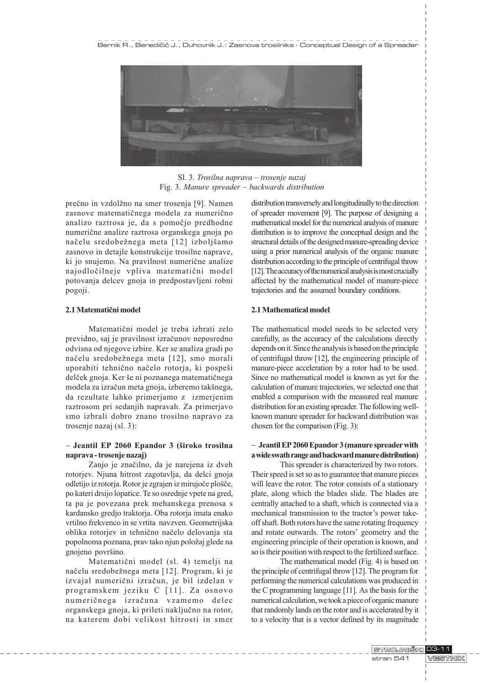

Sl. 3. Trosilna naprava – trosenje nazaj Fig. 3. Manure spreader  $-$  backwards distribution

prečno in vzdolžno na smer trosenja [9]. Namen zasnove matematiènega modela za numerièno analizo raztrosa je, da s pomoèjo predhodne numeriène analize raztrosa organskega gnoja po načelu sredobežnega meta [12] izboljšamo zasnovo in detajle konstrukcije trosilne naprave, ki jo snujemo. Na pravilnost numerične analize najodloèilneje vpliva matematièni model potovanja delcev gnoja in predpostavljeni robni pogoji.

# 2.1 Matematièni model

Matematièni model je treba izbrati zelo previdno, saj je pravilnost izraèunov neposredno odvisna od njegove izbire. Ker se analiza gradi po načelu sredobežnega meta [12], smo morali uporabiti tehnično načelo rotorja, ki pospeši delček gnoja. Ker še ni poznanega matematičnega modela za izračun meta gnoja, izberemo takšnega, da rezultate lahko primerjamo z izmerjenim raztrosom pri sedanjih napravah. Za primerjavo smo izbrali dobro znano trosilno napravo za trosenje nazaj (sl. 3):

# $-$  Jeantil EP 2060 Epandor 3 (široko trosilna naprava - trosenje nazaj)

Zanjo je znaèilno, da je narejena iz dveh rotorjev. Njuna hitrost zagotavlja, da delci gnoja odletijo iz rotorja. Rotor je zgrajen iz mirujoče plošče, po kateri drsijo lopatice. Te so osrednje vpete na gred, ta pa je povezana prek mehanskega prenosa s kardansko gredjo traktorja. Oba rotorja imata enako vrtilno frekvenco in se vrtita navzven. Geometrijska oblika rotorjev in tehnièno naèelo delovanja sta popolnoma poznana, prav tako njun položaj glede na gnojeno površino.

Matematièni model (sl. 4) temelji na načelu sredobežnega meta [12]. Program, ki je izvajal numerièni izraèun, je bil izdelan v programskem jeziku C [11]. Za osnovo numeriènega izraèuna vzamemo delec organskega gnoja, ki prileti nakljuèno na rotor, na katerem dobi velikost hitrosti in smer distribution transversely and longitudinally to the direction of spreader movement [9]. The purpose of designing a mathematical model for the numerical analysis of manure distribution is to improve the conceptual design and the structural details of the designed manure-spreading device using a prior numerical analysis of the organic manure distribution according to the principle of centrifugal throw [12]. The accuracy of the numerical analysis is most crucially affected by the mathematical model of manure-piece trajectories and the assumed boundary conditions.

### 2.1 Mathematical model

The mathematical model needs to be selected very carefully, as the accuracy of the calculations directly depends on it. Since the analysis is based on the principle of centrifugal throw [12], the engineering principle of manure-piece acceleration by a rotor had to be used. Since no mathematical model is known as yet for the calculation of manure trajectories, we selected one that enabled a comparison with the measured real manure distribution for an existing spreader. The following wellknown manure spreader for backward distribution was chosen for the comparison (Fig. 3):

# - Jeantil EP 2060 Epandor 3 (manure spreader with a wide swath range and backward manure distribution)

This spreader is characterized by two rotors. Their speed is set so as to guarantee that manure pieces will leave the rotor. The rotor consists of a stationary plate, along which the blades slide. The blades are centrally attached to a shaft, which is connected via a mechanical transmission to the tractor's power takeoff shaft. Both rotors have the same rotating frequency and rotate outwards. The rotors' geometry and the engineering principle of their operation is known, and so is their position with respect to the fertilized surface.

The mathematical model (Fig. 4) is based on the principle of centrifugal throw [12]. The program for performing the numerical calculations was produced in the C programming language [11]. As the basis for the numerical calculation, we took a piece of organic manure that randomly lands on the rotor and is accelerated by it to a velocity that is a vector defined by its magnitude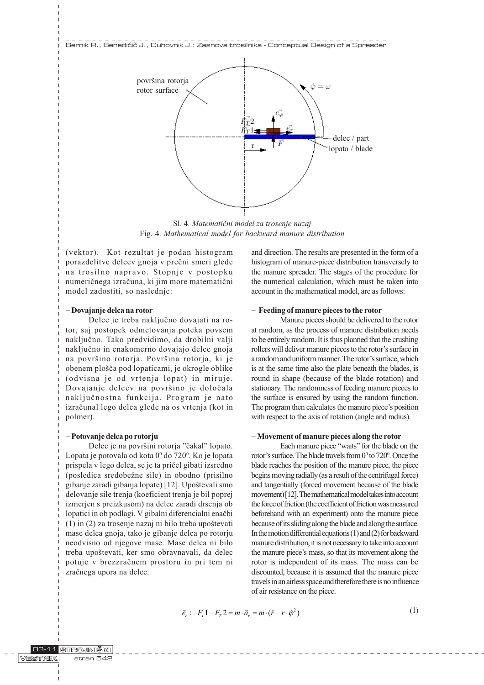

Sl. 4. Matematièni model za trosenje nazaj Fig. 4. Mathematical model for backward manure distribution

(vektor). Kot rezultat je podan histogram porazdelitve delcev gnoja v preèni smeri glede na trosilno napravo. Stopnje v postopku numeriènega izraèuna, ki jim more matematièni model zadostiti, so naslednje:

### - Dovajanje delca na rotor

Delce je treba nakljuèno dovajati na rotor, saj postopek odmetovanja poteka povsem nakljuèno. Tako predvidimo, da drobilni valji nakljuèno in enakomerno dovajajo delce gnoja na površino rotorja. Površina rotorja, ki je obenem plošča pod lopaticami, je okrogle oblike (odvisna je od vrtenja lopat) in miruje. Dovajanje delcev na površino je določala nakljuènostna funkcija. Program je nato izraèunal lego delca glede na os vrtenja (kot in polmer).

### - Potovanje delca po rotorju

Delec je na površini rotorja "čakal" lopato. Lopata je potovala od kota 0º do 720º. Ko je lopata prispela v lego delca, se je ta prièel gibati izsredno (posledica sredobežne sile) in obodno (prisilno gibanje zaradi gibanja lopate) [12]. Upoštevali smo delovanje sile trenja (koeficient trenja je bil poprej izmerjen s preizkusom) na delec zaradi drsenja ob lopatici in ob podlagi. V gibalni diferencialni enaèbi  $(1)$  in  $(2)$  za trosenje nazaj ni bilo treba upoštevati mase delca gnoja, tako je gibanje delca po rotorju neodvisno od njegove mase. Mase delca ni bilo treba upoštevati, ker smo obravnavali, da delec potuje v brezzraènem prostoru in pri tem ni zraènega upora na delec.

and direction. The results are presented in the form of a histogram of manure-piece distribution transversely to the manure spreader. The stages of the procedure for the numerical calculation, which must be taken into account in the mathematical model, are as follows:

### - Feeding of manure pieces to the rotor

Manure pieces should be delivered to the rotor at random, as the process of manure distribution needs to be entirely random. It is thus planned that the crushing rollers will deliver manure pieces to the rotor's surface in a random and uniform manner. The rotor's surface, which is at the same time also the plate beneath the blades, is round in shape (because of the blade rotation) and stationary. The randomness of feeding manure pieces to the surface is ensured by using the random function. The program then calculates the manure piece's position with respect to the axis of rotation (angle and radius).

### - Movement of manure pieces along the rotor

Each manure piece "waits" for the blade on the rotor's surface. The blade travels from  $0^{\circ}$  to  $720^{\circ}$ . Once the blade reaches the position of the manure piece, the piece begins moving radially (as a result of the centrifugal force) and tangentially (forced movement because of the blade movement) [12]. The mathematical model takes into account the force of friction (the coefficient of friction was measured beforehand with an experiment) onto the manure piece because of its sliding along the blade and along the surface. In the motion differential equations  $(1)$  and  $(2)$  for backward manure distribution, it is not necessary to take into account the manure piece's mass, so that its movement along the rotor is independent of its mass. The mass can be discounted, because it is assumed that the manure piece travels in an airless space and therefore there is no influence of air resistance on the piece.

$$
\vec{e}_r : -F_T 1 - F_T 2 = m \cdot \vec{a}_r = m \cdot (\ddot{r} - r \cdot \dot{\phi}^2)
$$
\n(1)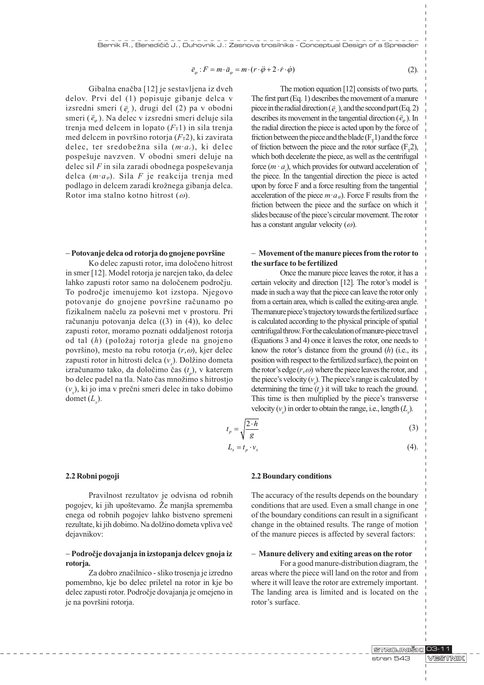$$
\vec{e}_{\varphi}: F = m \cdot \vec{a}_{\varphi} = m \cdot (r \cdot \ddot{\varphi} + 2 \cdot \dot{r} \cdot \dot{\varphi})
$$

Gibalna enaèba [12] je sestavljena iz dveh delov. Prvi del (1) popisuje gibanje delca v defov. Tivi del (1) popisuje gibanje defta v<br>izsredni smeri  $(\vec{e}_r)$ , drugi del (2) pa v obodni izsredni smeri (e, ), drugi del (2) pa v obodni<br>smeri ( $\bar{e}_\varphi$ ). Na delec v izsredni smeri deluje sila trenja med delcem in lopato  $(F<sub>T</sub>1)$  in sila trenja med delcem in površino rotorja  $(F_T2)$ , ki zavirata delec, ter sredobežna sila  $(m \cdot a_r)$ , ki delec pospešuje navzven. V obodni smeri deluje na delec sil  $F$  in sila zaradi obodnega pospeševanja delca  $(m \cdot a_{\varphi})$ . Sila F je reakcija trenja med podlago in delcem zaradi krožnega gibanja delca. Rotor ima stalno kotno hitrost  $(\omega)$ .

(2).

The motion equation [12] consists of two parts. The first part (Eq. 1) describes the movement of a manure The rist part (Eq. 1) describes the movement of a manufacture piece in the radial direction ( $\bar{e}_r$ ), and the second part (Eq. 2) piece in the radial direction ( $e_r$ ), and the second part (Eq. 2)<br>describes its movement in the tangential direction ( $\bar{e}_{\varphi}$ ). In the radial direction the piece is acted upon by the force of friction between the piece and the blade  $(F_T 1)$  and the force of friction between the piece and the rotor surface  $(F_1 2)$ , which both decelerate the piece, as well as the centrifugal force  $(m \cdot a)$ , which provides for outward acceleration of the piece. In the tangential direction the piece is acted upon by force F and a force resulting from the tangential acceleration of the piece  $m \cdot a_{\varphi}$ ). Force F results from the friction between the piece and the surface on which it slides because of the piece's circular movement. The rotor has a constant angular velocity  $(\omega)$ .

### - Potovanje delca od rotorja do gnojene površine

Ko delec zapusti rotor, ima doloèeno hitrost in smer [12]. Model rotorja je narejen tako, da delec lahko zapusti rotor samo na doloèenem podroèju. To podroèje imenujemo kot izstopa. Njegovo potovanje do gnojene površine računamo po fizikalnem načelu za poševni met v prostoru. Pri računanju potovanja delca ((3) in (4)), ko delec zapusti rotor, moramo poznati oddaljenost rotorja od tal  $(h)$  (položaj rotorja glede na gnojeno površino), mesto na robu rotorja  $(r, \omega)$ , kjer delec zapusti rotor in hitrosti delca  $(v_x)$ . Dolžino dometa izračunamo tako, da določimo čas  $(t_p)$ , v katerem bo delec padel na tla. Nato čas množimo s hitrostjo  $(v_x)$ , ki jo ima v prečni smeri delec in tako dobimo domet  $(L_x)$ .

### - Movement of the manure pieces from the rotor to the surface to be fertilized

Once the manure piece leaves the rotor, it has a certain velocity and direction [12]. The rotor's model is made in such a way that the piece can leave the rotor only from a certain area, which is called the exiting-area angle. The manure piece's trajectory towards the fertilized surface is calculated according to the physical principle of spatial centrifugal throw. For the calculation of manure-piece travel (Equations 3 and 4) once it leaves the rotor, one needs to know the rotor's distance from the ground  $(h)$  (i.e., its position with respect to the fertilized surface), the point on the rotor's edge  $(r,\omega)$  where the piece leaves the rotor, and the piece's velocity  $(v_x)$ . The piece's range is calculated by determining the time  $(t_p)$  it will take to reach the ground. This time is then multiplied by the piece's transverse velocity  $(v_x)$  in order to obtain the range, i.e., length  $(L_x)$ .

$$
t_p = \sqrt{\frac{2 \cdot h}{g}}\tag{3}
$$

$$
L_x = t_p \cdot \nu_x \tag{4}
$$

#### 2.2 Robni pogoji

Pravilnost rezultatov je odvisna od robnih pogojev, ki jih upoštevamo. Že manjša sprememba enega od robnih pogojev lahko bistveno spremeni rezultate, ki jih dobimo. Na dolžino dometa vpliva več dejavnikov:

### - Podroèje dovajanja in izstopanja delcev gnoja iz rotorja.

Za dobro znaèilnico - sliko trosenja je izredno pomembno, kje bo delec priletel na rotor in kje bo delec zapusti rotor. Podroèje dovajanja je omejeno in je na površini rotorja.

------------

### 2.2 Boundary conditions

The accuracy of the results depends on the boundary conditions that are used. Even a small change in one of the boundary conditions can result in a significant change in the obtained results. The range of motion of the manure pieces is affected by several factors:

#### - Manure delivery and exiting areas on the rotor

For a good manure-distribution diagram, the areas where the piece will land on the rotor and from where it will leave the rotor are extremely important. The landing area is limited and is located on the rotor's surface.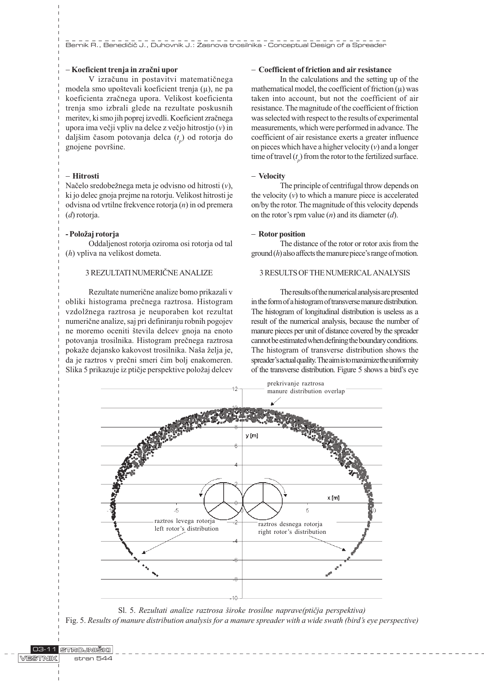Bernik R., Benedi~i~ J., Duhovnik J.: Zasnova trosilnika - Conceptual Design of a Spreader

# - Koeficient trenja in zraèni upor

V izraèunu in postavitvi matematiènega modela smo upoštevali koeficient trenja  $(u)$ , ne pa koeficienta zraènega upora. Velikost koeficienta trenja smo izbrali glede na rezultate poskusnih meritev, ki smo jih poprej izvedli. Koeficient zraènega upora ima večji vpliv na delce z večjo hitrostjo  $(v)$  in daljšim časom potovanja delca  $(t_{p})$  od rotorja do gnojene površine.

# - Hitrosti

Načelo sredobežnega meta je odvisno od hitrosti  $(v)$ , ki jo delec gnoja prejme na rotorju. Velikost hitrosti je odvisna od vrtilne frekvence rotorja (n) in od premera (d) rotorja.

### - Položaj rotorja

Oddaljenost rotorja oziroma osi rotorja od tal (h) vpliva na velikost dometa.

# 3 REZULTATI NUMERIÈNE ANALIZE

Rezultate numeriène analize bomo prikazali v obliki histograma preènega raztrosa. Histogram vzdolžnega raztrosa je neuporaben kot rezultat numeriène analize, saj pri definiranju robnih pogojev ne moremo oceniti števila delcev gnoja na enoto potovanja trosilnika. Histogram preènega raztrosa pokaže dejansko kakovost trosilnika. Naša želja je, da je raztros v preèni smeri èim bolj enakomeren. Slika 5 prikazuje iz ptičje perspektive položaj delcev

# - Coefficient of friction and air resistance

In the calculations and the setting up of the mathematical model, the coefficient of friction  $(\mu)$  was taken into account, but not the coefficient of air resistance. The magnitude of the coefficient of friction was selected with respect to the results of experimental measurements, which were performed in advance. The coefficient of air resistance exerts a greater influence on pieces which have a higher velocity  $(v)$  and a longer time of travel  $(t_p)$  from the rotor to the fertilized surface.

# - Velocity

The principle of centrifugal throw depends on the velocity  $(v)$  to which a manure piece is accelerated on/by the rotor. The magnitude of this velocity depends on the rotor's rpm value  $(n)$  and its diameter  $(d)$ .

### - Rotor position

The distance of the rotor or rotor axis from the  $\mathbf{ground}(h)$  also affects the manure piece's range of motion.

### 3 RESULTS OF THE NUMERICAL ANALYSIS

The results of the numerical analysis are presented in the form of a histogram of transverse manure distribution. The histogram of longitudinal distribution is useless as a result of the numerical analysis, because the number of manure pieces per unit of distance covered by the spreader cannot be estimated when defining the boundary conditions. The histogram of transverse distribution shows the spreader's actual quality. The aim is to maximize the uniformity of the transverse distribution. Figure 5 shows a bird's eye



Sl. 5. Rezultati analize raztrosa široke trosilne naprave(ptičja perspektiva) Fig. 5. Results of manure distribution analysis for a manure spreader with a wide swath (bird's eye perspective)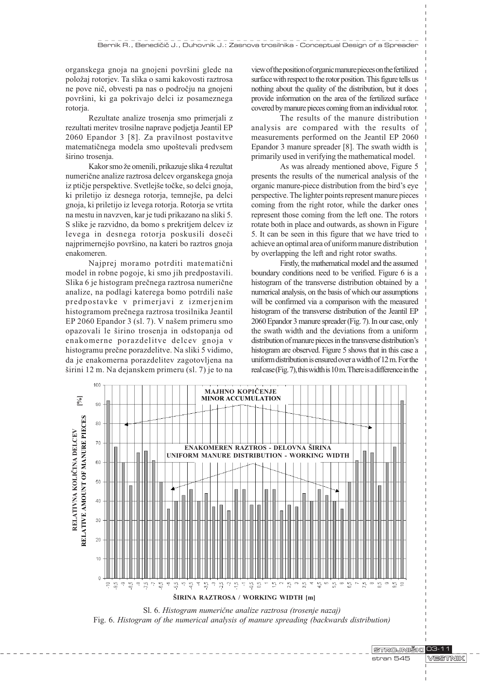organskega gnoja na gnojeni površini glede na položaj rotorjev. Ta slika o sami kakovosti raztrosa ne pove niè, obvesti pa nas o podroèju na gnojeni površini, ki ga pokrivajo delci iz posameznega rotorja.

Rezultate analize trosenja smo primerjali z rezultati meritev trosilne naprave podjetja Jeantil EP 2060 Epandor 3 [8]. Za pravilnost postavitve matematičnega modela smo upoštevali predvsem širino trosenja.

Kakor smo že omenili, prikazuje slika 4 rezultat numeriène analize raztrosa delcev organskega gnoja iz ptičje perspektive. Svetlejše točke, so delci gnoja, ki priletijo iz desnega rotorja, temnejše, pa delci gnoja, ki priletijo iz levega rotorja. Rotorja se vrtita na mestu in navzven, kar je tudi prikazano na sliki 5. S slike je razvidno, da bomo s prekritjem delcev iz levega in desnega rotorja poskusili doseèi najprimernejšo površino, na kateri bo raztros gnoja enakomeren.

Najprej moramo potrditi matematièni model in robne pogoje, ki smo jih predpostavili. Slika 6 je histogram preènega raztrosa numeriène analize, na podlagi katerega bomo potrdili naše predpostavke v primerjavi z izmerjenim histogramom preènega raztrosa trosilnika Jeantil EP 2060 Epandor 3 (sl. 7). V našem primeru smo opazovali le širino trosenja in odstopanja od enakomerne porazdelitve delcev gnoja v histogramu preène porazdelitve. Na sliki 5 vidimo, da je enakomerna porazdelitev zagotovljena na širini 12 m. Na dejanskem primeru (sl. 7) je to na view of the position of organic manure pieces on the fertilized surface with respect to the rotor position. This figure tells us nothing about the quality of the distribution, but it does provide information on the area of the fertilized surface covered by manure pieces coming from an individual rotor.

The results of the manure distribution analysis are compared with the results of measurements performed on the Jeantil EP 2060 Epandor 3 manure spreader [8]. The swath width is primarily used in verifying the mathematical model.

As was already mentioned above, Figure 5 presents the results of the numerical analysis of the organic manure-piece distribution from the bird's eye perspective. The lighter points represent manure pieces coming from the right rotor, while the darker ones represent those coming from the left one. The rotors rotate both in place and outwards, as shown in Figure 5. It can be seen in this figure that we have tried to achieve an optimal area of uniform manure distribution by overlapping the left and right rotor swaths.

Firstly, the mathematical model and the assumed boundary conditions need to be verified. Figure 6 is a histogram of the transverse distribution obtained by a numerical analysis, on the basis of which our assumptions will be confirmed via a comparison with the measured histogram of the transverse distribution of the Jeantil EP 2060 Epandor 3 manure spreader (Fig. 7). In our case, only the swath width and the deviations from a uniform distribution of manure pieces in the transverse distribution's histogram are observed. Figure 5 shows that in this case a uniform distribution is ensured over a width of 12 m. For the real case (Fig. 7), this width is 10 m. There is a difference in the



Sl. 6. Histogram numeriène analize raztrosa (trosenje nazaj) Fig. 6. Histogram of the numerical analysis of manure spreading (backwards distribution)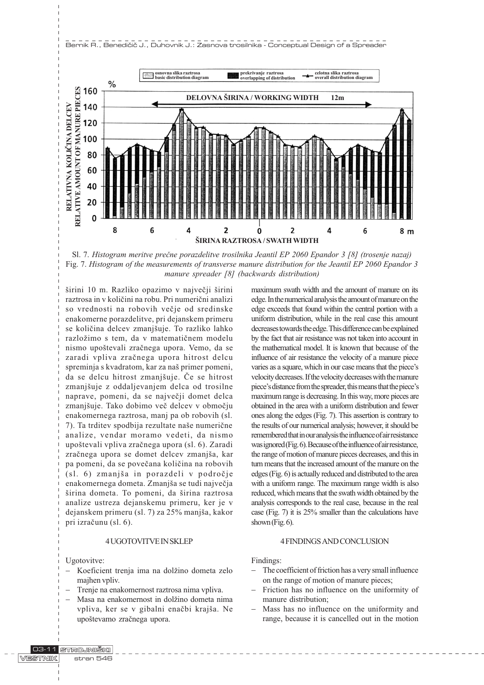



širini 10 m. Razliko opazimo v največji širini raztrosa in v kolièini na robu. Pri numerièni analizi so vrednosti na robovih večje od sredinske enakomerne porazdelitve, pri dejanskem primeru se količina delcev zmanjšuje. To razliko lahko razložimo s tem, da v matematičnem modelu nismo upoštevali zračnega upora. Vemo, da se zaradi vpliva zraènega upora hitrost delcu spreminja s kvadratom, kar za naš primer pomeni, da se delcu hitrost zmanjšuje. Če se hitrost zmanjšuje z oddaljevanjem delca od trosilne naprave, pomeni, da se najveèji domet delca zmanjšuje. Tako dobimo več delcev v območju enakomernega raztrosa, manj pa ob robovih (sl. 7). Ta trditev spodbija rezultate naše numerične analize, vendar moramo vedeti, da nismo upotevali vpliva zraènega upora (sl. 6). Zaradi zračnega upora se domet delcev zmanjša, kar pa pomeni, da se poveèana kolièina na robovih (sl. 6) zmanjša in porazdeli v področje enakomernega dometa. Zmanjša se tudi največja širina dometa. To pomeni, da širina raztrosa analize ustreza dejanskemu primeru, ker je v dejanskem primeru (sl. 7) za 25% manja, kakor pri izraèunu (sl. 6).

# 4 UGOTOVITVE IN SKLEP

Ugotovitve:

- Koeficient trenja ima na dolžino dometa zelo majhen vpliv.
- Trenje na enakomernost raztrosa nima vpliva.
- Masa na enakomernost in dolžino dometa nima vpliva, ker se v gibalni enačbi krajša. Ne upoštevamo zračnega upora.

maximum swath width and the amount of manure on its edge. In the numerical analysis the amount of manure on the edge exceeds that found within the central portion with a uniform distribution, while in the real case this amount decreases towards the edge. This difference can be explained by the fact that air resistance was not taken into account in the mathematical model. It is known that because of the influence of air resistance the velocity of a manure piece varies as a square, which in our case means that the piece's velocity decreases. If the velocity decreases with the manure piece's distance from the spreader, this means that the piece's maximum range is decreasing. In this way, more pieces are obtained in the area with a uniform distribution and fewer ones along the edges (Fig. 7). This assertion is contrary to the results of our numerical analysis; however, it should be remembered that in our analysis the influence of air resistance was ignored (Fig. 6). Because of the influence of air resistance, the range of motion of manure pieces decreases, and this in turn means that the increased amount of the manure on the edges (Fig. 6) is actually reduced and distributed to the area with a uniform range. The maximum range width is also reduced, which means that the swath width obtained by the analysis corresponds to the real case, because in the real case (Fig. 7) it is 25% smaller than the calculations have shown (Fig. 6).

### 4 FINDINGS AND CONCLUSION

Findings:

- The coefficient of friction has a very small influence on the range of motion of manure pieces;
- Friction has no influence on the uniformity of manure distribution;
- Mass has no influence on the uniformity and range, because it is cancelled out in the motion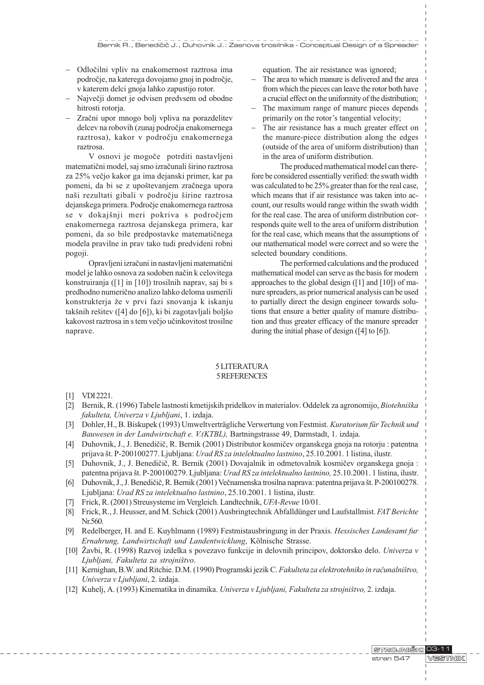- Odloèilni vpliv na enakomernost raztrosa ima podroèje, na katerega dovojamo gnoj in podroèje, v katerem delci gnoja lahko zapustijo rotor.
- Največji domet je odvisen predvsem od obodne hitrosti rotorja.
- Zračni upor mnogo bolj vpliva na porazdelitev delcev na robovih (zunaj podroèja enakomernega raztrosa), kakor v podroèju enakomernega raztrosa.

V osnovi je mogoče potrditi nastavljeni matematični model, saj smo izračunali širino raztrosa za 25% veèjo kakor ga ima dejanski primer, kar pa pomeni, da bi se z upoštevanjem zračnega upora naši rezultati gibali v področju širine raztrosa dejanskega primera. Podroèje enakomernega raztrosa se v dokajšnji meri pokriva s področjem enakomernega raztrosa dejanskega primera, kar pomeni, da so bile predpostavke matematiènega modela pravilne in prav tako tudi predvideni robni pogoji.

Opravljeni izraèuni in nastavljeni matematièni model je lahko osnova za sodoben naèin k celovitega konstruiranja ([1] in [10]) trosilnih naprav, saj bi s predhodno numerièno analizo lahko deloma usmerili konstrukterja že v prvi fazi snovanja k iskanju takšnih rešitev ( $[4]$  do  $[6]$ ), ki bi zagotavljali boljšo kakovost raztrosa in s tem veèjo uèinkovitost trosilne naprave.

equation. The air resistance was ignored;

- The area to which manure is delivered and the area from which the pieces can leave the rotor both have a crucial effect on the uniformity of the distribution;
- The maximum range of manure pieces depends primarily on the rotor's tangential velocity;
- The air resistance has a much greater effect on the manure-piece distribution along the edges (outside of the area of uniform distribution) than in the area of uniform distribution.

The produced mathematical model can therefore be considered essentially verified: the swath width was calculated to be 25% greater than for the real case, which means that if air resistance was taken into account, our results would range within the swath width for the real case. The area of uniform distribution corresponds quite well to the area of uniform distribution for the real case, which means that the assumptions of our mathematical model were correct and so were the selected boundary conditions.

The performed calculations and the produced mathematical model can serve as the basis for modern approaches to the global design ([1] and [10]) of manure spreaders, as prior numerical analysis can be used to partially direct the design engineer towards solutions that ensure a better quality of manure distribution and thus greater efficacy of the manure spreader during the initial phase of design ([4] to [6]).

# 5 LITERATURA 5 REFERENCES

- [1] VDI 2221.
- [2] Bernik, R. (1996) Tabele lastnosti kmetijskih pridelkov in materialov. Oddelek za agronomijo, Biotehniška fakulteta, Univerza v Ljubljani, 1. izdaja.
- [3] Dohler, H., B. Biskupek (1993) Umweltverträgliche Verwertung von Festmist. Kuratorium für Technik und Bauwesen in der Landwirtschaft e. V.(KTBL), Bartningstrasse 49, Darmstadt, 1. izdaja.
- [4] Duhovnik, J., J. Benedièiè, R. Bernik (2001) Distributor kosmièev organskega gnoja na rotorju : patentna prijava št. P-200100277. Ljubljana: Urad RS za intelektualno lastnino, 25.10.2001. 1 listina, ilustr.
- [5] Duhovnik, J., J. Benedièiè, R. Bernik (2001) Dovajalnik in odmetovalnik kosmièev organskega gnoja : patentna prijava št. P-200100279. Ljubljana: Urad RS za intelektualno lastnino, 25.10.2001. 1 listina, ilustr.
- [6] Duhovnik, J., J. Benedièiè, R. Bernik (2001) Veènamenska trosilna naprava: patentna prijava t. P-200100278. Ljubljana: Urad RS za intelektualno lastnino, 25.10.2001. 1 listina, ilustr.
- [7] Frick, R. (2001) Streusysteme im Vergleich. Landtechnik, UFA-Revue 10/01.
- [8] Frick, R., J. Heusser, and M. Schick (2001) Ausbringtechnik Abfalldünger und Laufstallmist. FAT Berichte Nr.560.
- [9] Redelberger, H. and E. Kuyhlmann (1989) Festmistausbringung in der Praxis. Hessisches Landesamt fur Ernahrung, Landwirtschaft und Landentwicklung, Kölnische Strasse.
- [10] Žavbi, R. (1998) Razvoj izdelka s povezavo funkcije in delovnih principov, doktorsko delo. *Univerza v* Ljubljani, Fakulteta za strojništvo.
- [11] Kernighan, B.W. and Ritchie. D.M. (1990) Programski jezik C. Fakulteta za elektrotehniko in raèunalnitvo, Univerza v Ljubljani, 2. izdaja.
- [12] Kuhelj, A. (1993) Kinematika in dinamika. Univerza v Ljubljani, Fakulteta za strojništvo, 2. izdaja.